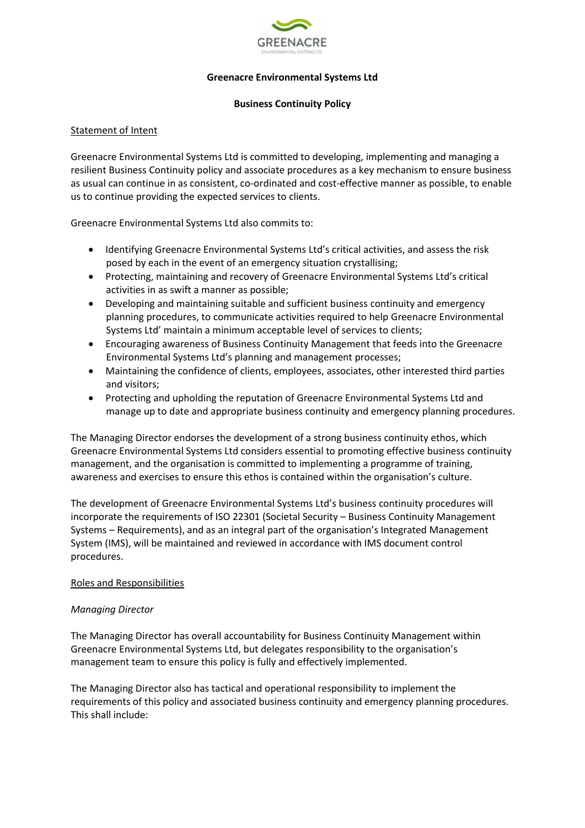

## **Greenacre Environmental Systems Ltd**

#### **Business Continuity Policy**

## Statement of Intent

Greenacre Environmental Systems Ltd is committed to developing, implementing and managing a resilient Business Continuity policy and associate procedures as a key mechanism to ensure business as usual can continue in as consistent, co-ordinated and cost-effective manner as possible, to enable us to continue providing the expected services to clients.

Greenacre Environmental Systems Ltd also commits to:

- Identifying Greenacre Environmental Systems Ltd's critical activities, and assess the risk posed by each in the event of an emergency situation crystallising;
- Protecting, maintaining and recovery of Greenacre Environmental Systems Ltd's critical activities in as swift a manner as possible;
- Developing and maintaining suitable and sufficient business continuity and emergency planning procedures, to communicate activities required to help Greenacre Environmental Systems Ltd' maintain a minimum acceptable level of services to clients;
- Encouraging awareness of Business Continuity Management that feeds into the Greenacre Environmental Systems Ltd's planning and management processes;
- Maintaining the confidence of clients, employees, associates, other interested third parties and visitors;
- Protecting and upholding the reputation of Greenacre Environmental Systems Ltd and manage up to date and appropriate business continuity and emergency planning procedures.

The Managing Director endorses the development of a strong business continuity ethos, which Greenacre Environmental Systems Ltd considers essential to promoting effective business continuity management, and the organisation is committed to implementing a programme of training, awareness and exercises to ensure this ethos is contained within the organisation's culture.

The development of Greenacre Environmental Systems Ltd's business continuity procedures will incorporate the requirements of ISO 22301 (Societal Security – Business Continuity Management Systems – Requirements), and as an integral part of the organisation's Integrated Management System (IMS), will be maintained and reviewed in accordance with IMS document control procedures.

## Roles and Responsibilities

## *Managing Director*

The Managing Director has overall accountability for Business Continuity Management within Greenacre Environmental Systems Ltd, but delegates responsibility to the organisation's management team to ensure this policy is fully and effectively implemented.

The Managing Director also has tactical and operational responsibility to implement the requirements of this policy and associated business continuity and emergency planning procedures. This shall include: